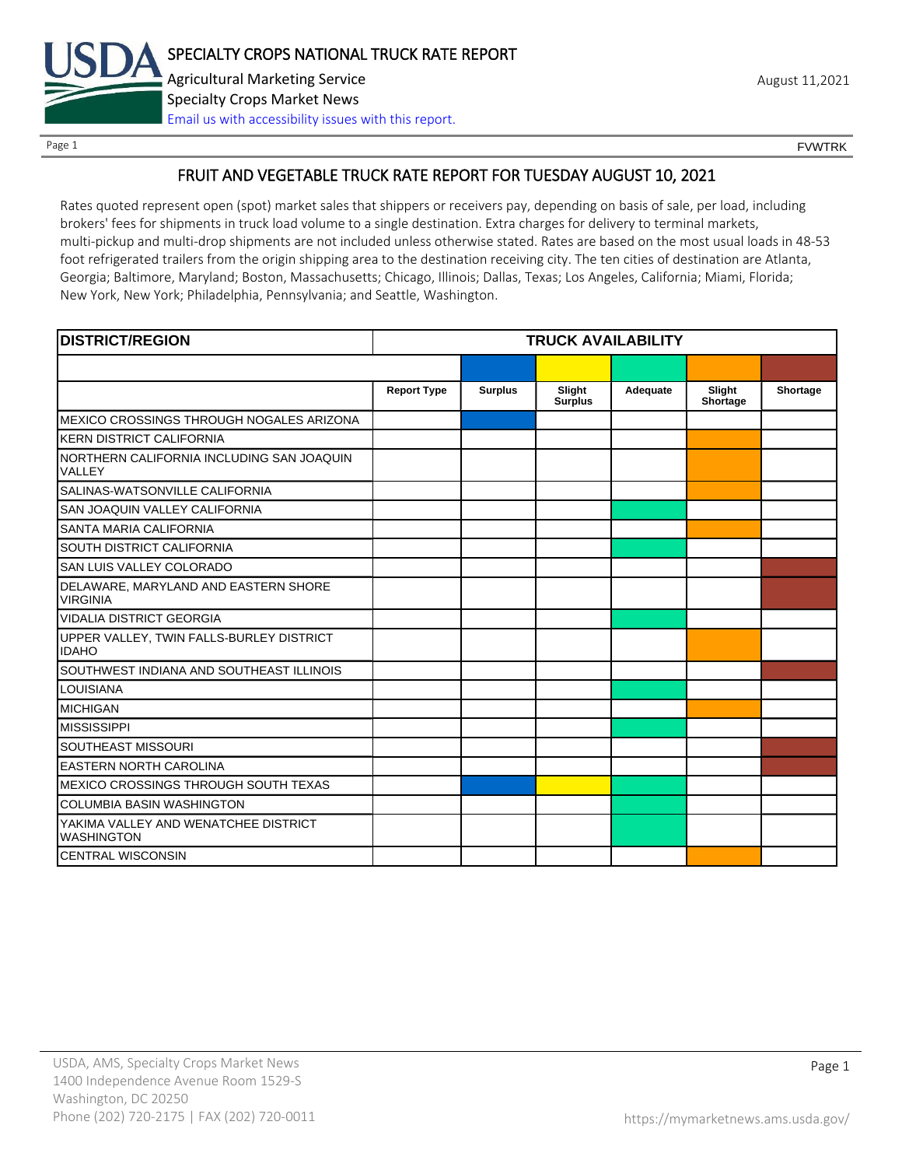

Page 1 FOUNTRK CONTROL CONTROL CONTROL CONTROL CONTROL CONTROL CONTROL CONTROL CONTROL CONTROL CONTROL CONTROL CONTROL CONTROL CONTROL CONTROL CONTROL CONTROL CONTROL CONTROL CONTROL CONTROL CONTROL CONTROL CONTROL CONTROL

### FRUIT AND VEGETABLE TRUCK RATE REPORT FOR TUESDAY AUGUST 10, 2021

Rates quoted represent open (spot) market sales that shippers or receivers pay, depending on basis of sale, per load, including brokers' fees for shipments in truck load volume to a single destination. Extra charges for delivery to terminal markets, multi-pickup and multi-drop shipments are not included unless otherwise stated. Rates are based on the most usual loads in 48-53 foot refrigerated trailers from the origin shipping area to the destination receiving city. The ten cities of destination are Atlanta, Georgia; Baltimore, Maryland; Boston, Massachusetts; Chicago, Illinois; Dallas, Texas; Los Angeles, California; Miami, Florida; New York, New York; Philadelphia, Pennsylvania; and Seattle, Washington.

| <b>DISTRICT/REGION</b>                                    |                    |                | <b>TRUCK AVAILABILITY</b> |          |                    |          |
|-----------------------------------------------------------|--------------------|----------------|---------------------------|----------|--------------------|----------|
|                                                           |                    |                |                           |          |                    |          |
|                                                           | <b>Report Type</b> | <b>Surplus</b> | Slight<br><b>Surplus</b>  | Adequate | Slight<br>Shortage | Shortage |
| MEXICO CROSSINGS THROUGH NOGALES ARIZONA                  |                    |                |                           |          |                    |          |
| <b>KERN DISTRICT CALIFORNIA</b>                           |                    |                |                           |          |                    |          |
| NORTHERN CALIFORNIA INCLUDING SAN JOAQUIN<br>VALLEY       |                    |                |                           |          |                    |          |
| SALINAS-WATSONVILLE CALIFORNIA                            |                    |                |                           |          |                    |          |
| SAN JOAQUIN VALLEY CALIFORNIA                             |                    |                |                           |          |                    |          |
| SANTA MARIA CALIFORNIA                                    |                    |                |                           |          |                    |          |
| SOUTH DISTRICT CALIFORNIA                                 |                    |                |                           |          |                    |          |
| SAN LUIS VALLEY COLORADO                                  |                    |                |                           |          |                    |          |
| DELAWARE, MARYLAND AND EASTERN SHORE<br><b>VIRGINIA</b>   |                    |                |                           |          |                    |          |
| <b>VIDALIA DISTRICT GEORGIA</b>                           |                    |                |                           |          |                    |          |
| UPPER VALLEY, TWIN FALLS-BURLEY DISTRICT<br><b>IDAHO</b>  |                    |                |                           |          |                    |          |
| SOUTHWEST INDIANA AND SOUTHEAST ILLINOIS                  |                    |                |                           |          |                    |          |
| LOUISIANA                                                 |                    |                |                           |          |                    |          |
| <b>MICHIGAN</b>                                           |                    |                |                           |          |                    |          |
| <b>MISSISSIPPI</b>                                        |                    |                |                           |          |                    |          |
| SOUTHEAST MISSOURI                                        |                    |                |                           |          |                    |          |
| <b>EASTERN NORTH CAROLINA</b>                             |                    |                |                           |          |                    |          |
| MEXICO CROSSINGS THROUGH SOUTH TEXAS                      |                    |                |                           |          |                    |          |
| <b>COLUMBIA BASIN WASHINGTON</b>                          |                    |                |                           |          |                    |          |
| YAKIMA VALLEY AND WENATCHEE DISTRICT<br><b>WASHINGTON</b> |                    |                |                           |          |                    |          |
| <b>CENTRAL WISCONSIN</b>                                  |                    |                |                           |          |                    |          |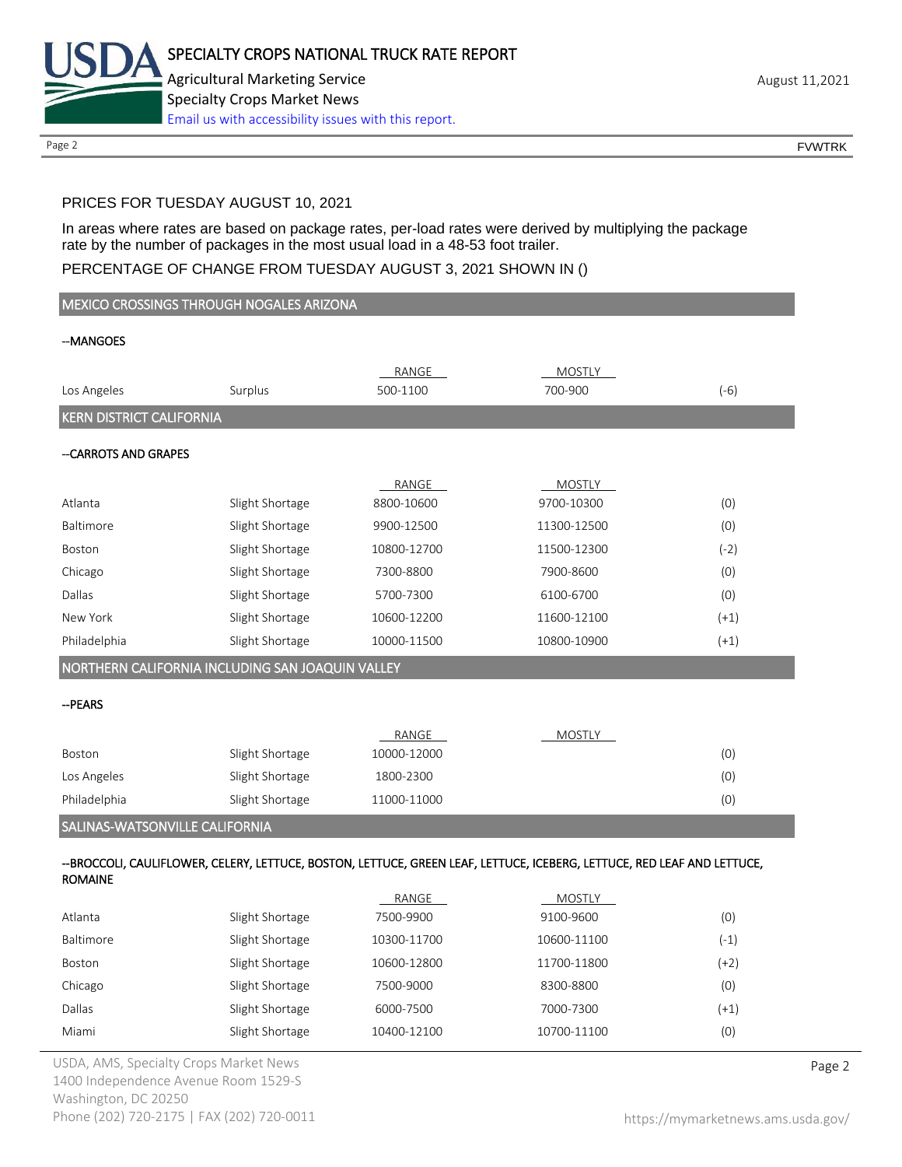

Page 2 FOUNTRK CONTROL CONTROL CONTROL CONTROL CONTROL CONTROL CONTROL CONTROL CONTROL CONTROL CONTROL CONTROL CONTROL CONTROL CONTROL CONTROL CONTROL CONTROL CONTROL CONTROL CONTROL CONTROL CONTROL CONTROL CONTROL CONTROL

## PRICES FOR TUESDAY AUGUST 10, 2021

In areas where rates are based on package rates, per-load rates were derived by multiplying the package rate by the number of packages in the most usual load in a 48-53 foot trailer.

## PERCENTAGE OF CHANGE FROM TUESDAY AUGUST 3, 2021 SHOWN IN ()

| MEXICO CROSSINGS THROUGH NOGALES ARIZONA                                                                                                  |                                                  |              |               |        |  |
|-------------------------------------------------------------------------------------------------------------------------------------------|--------------------------------------------------|--------------|---------------|--------|--|
| --MANGOES                                                                                                                                 |                                                  |              |               |        |  |
|                                                                                                                                           |                                                  | RANGE        | MOSTLY        |        |  |
| Los Angeles                                                                                                                               | Surplus                                          | 500-1100     | 700-900       | $(-6)$ |  |
| <b>KERN DISTRICT CALIFORNIA</b>                                                                                                           |                                                  |              |               |        |  |
| -- CARROTS AND GRAPES                                                                                                                     |                                                  |              |               |        |  |
|                                                                                                                                           |                                                  |              |               |        |  |
|                                                                                                                                           |                                                  | <b>RANGE</b> | <b>MOSTLY</b> |        |  |
| Atlanta                                                                                                                                   | Slight Shortage                                  | 8800-10600   | 9700-10300    | (0)    |  |
| Baltimore                                                                                                                                 | Slight Shortage                                  | 9900-12500   | 11300-12500   | (0)    |  |
| Boston                                                                                                                                    | Slight Shortage                                  | 10800-12700  | 11500-12300   | $(-2)$ |  |
| Chicago                                                                                                                                   | Slight Shortage                                  | 7300-8800    | 7900-8600     | (0)    |  |
| Dallas                                                                                                                                    | Slight Shortage                                  | 5700-7300    | 6100-6700     | (0)    |  |
| New York                                                                                                                                  | Slight Shortage                                  | 10600-12200  | 11600-12100   | $(+1)$ |  |
| Philadelphia                                                                                                                              | Slight Shortage                                  | 10000-11500  | 10800-10900   | $(+1)$ |  |
|                                                                                                                                           | NORTHERN CALIFORNIA INCLUDING SAN JOAQUIN VALLEY |              |               |        |  |
| --PEARS                                                                                                                                   |                                                  |              |               |        |  |
|                                                                                                                                           |                                                  | RANGE        | <b>MOSTLY</b> |        |  |
| Boston                                                                                                                                    | Slight Shortage                                  | 10000-12000  |               | (0)    |  |
| Los Angeles                                                                                                                               | Slight Shortage                                  | 1800-2300    |               | (0)    |  |
| Philadelphia                                                                                                                              | Slight Shortage                                  | 11000-11000  |               | (0)    |  |
| SALINAS-WATSONVILLE CALIFORNIA                                                                                                            |                                                  |              |               |        |  |
| --BROCCOLI, CAULIFLOWER, CELERY, LETTUCE, BOSTON, LETTUCE, GREEN LEAF, LETTUCE, ICEBERG, LETTUCE, RED LEAF AND LETTUCE,<br><b>ROMAINE</b> |                                                  |              |               |        |  |
|                                                                                                                                           |                                                  | RANGE        | <b>MOSTLY</b> |        |  |
| Atlanta                                                                                                                                   | Slight Shortage                                  | 7500-9900    | 9100-9600     | (0)    |  |
| Baltimore                                                                                                                                 | Slight Shortage                                  | 10300-11700  | 10600-11100   | $(-1)$ |  |
|                                                                                                                                           |                                                  |              |               |        |  |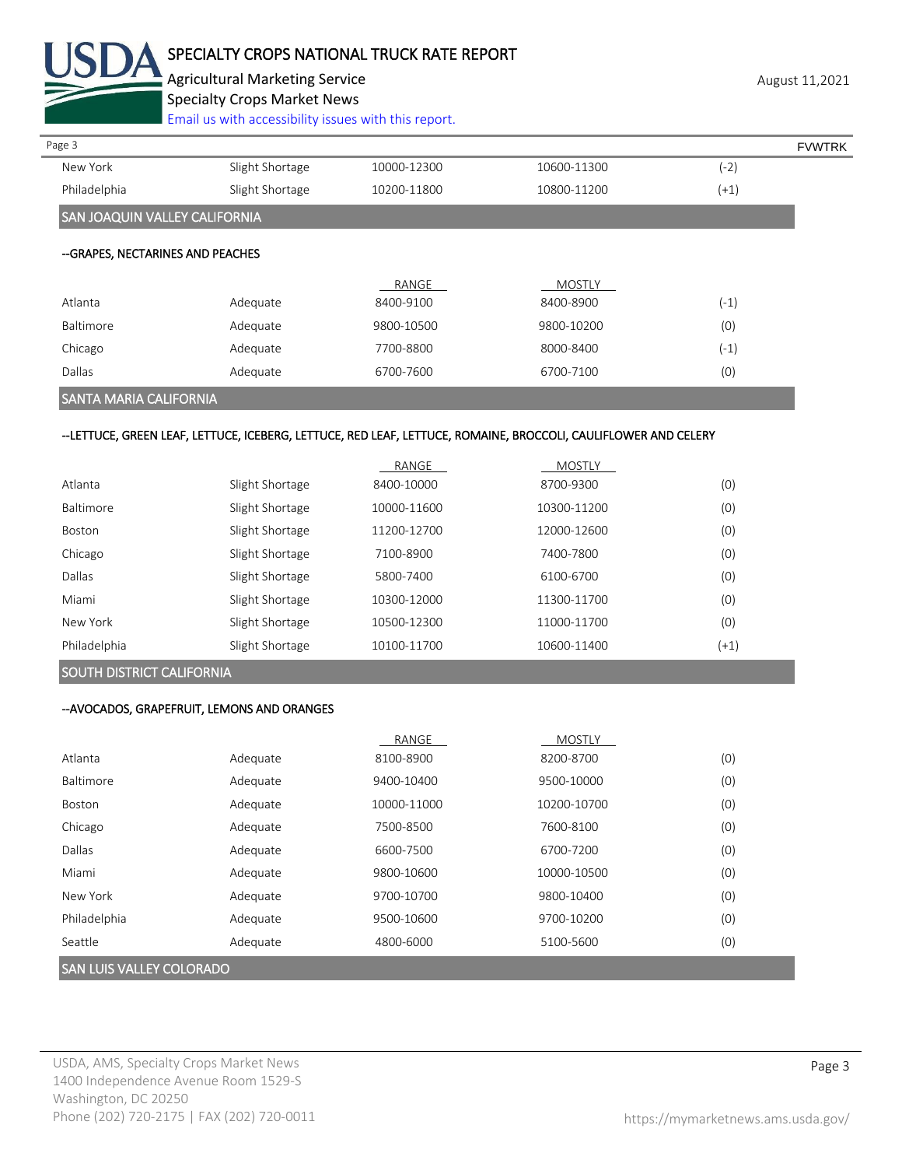

# SPECIALTY CROPS NATIONAL TRUCK RATE REPORT

Agricultural Marketing Service **August 11,2021** August 11,2021 Specialty Crops Market News

[Email us with accessibility issues with this report.](mailto:mars@ams.usda.gov?subject=508%20Inquiry/Report)

| Page 3                               |                 |             |               |        | <b>FVWTRK</b> |
|--------------------------------------|-----------------|-------------|---------------|--------|---------------|
| New York                             | Slight Shortage | 10000-12300 | 10600-11300   | (-2)   |               |
| Philadelphia                         | Slight Shortage | 10200-11800 | 10800-11200   | $(+1)$ |               |
| <b>SAN JOAQUIN VALLEY CALIFORNIA</b> |                 |             |               |        |               |
| --GRAPES, NECTARINES AND PEACHES     |                 |             |               |        |               |
|                                      |                 | RANGE       | <b>MOSTLY</b> |        |               |
| Atlanta                              | Adequate        | 8400-9100   | 8400-8900     | $(-1)$ |               |
| Baltimore                            | Adequate        | 9800-10500  | 9800-10200    | (0)    |               |
| Chicago                              | Adequate        | 7700-8800   | 8000-8400     | $(-1)$ |               |
| Dallas                               | Adequate        | 6700-7600   | 6700-7100     | (0)    |               |
|                                      |                 |             |               |        |               |

### SANTA MARIA CALIFORNIA

#### --LETTUCE, GREEN LEAF, LETTUCE, ICEBERG, LETTUCE, RED LEAF, LETTUCE, ROMAINE, BROCCOLI, CAULIFLOWER AND CELERY

|               |                 | RANGE       | <b>MOSTLY</b> |        |
|---------------|-----------------|-------------|---------------|--------|
| Atlanta       | Slight Shortage | 8400-10000  | 8700-9300     | (0)    |
| Baltimore     | Slight Shortage | 10000-11600 | 10300-11200   | (0)    |
| <b>Boston</b> | Slight Shortage | 11200-12700 | 12000-12600   | (0)    |
| Chicago       | Slight Shortage | 7100-8900   | 7400-7800     | (0)    |
| Dallas        | Slight Shortage | 5800-7400   | 6100-6700     | (0)    |
| Miami         | Slight Shortage | 10300-12000 | 11300-11700   | (0)    |
| New York      | Slight Shortage | 10500-12300 | 11000-11700   | (0)    |
| Philadelphia  | Slight Shortage | 10100-11700 | 10600-11400   | $(+1)$ |

### SOUTH DISTRICT CALIFORNIA

#### --AVOCADOS, GRAPEFRUIT, LEMONS AND ORANGES

|              |          | RANGE       | <b>MOSTLY</b> |     |
|--------------|----------|-------------|---------------|-----|
| Atlanta      | Adequate | 8100-8900   | 8200-8700     | (0) |
| Baltimore    | Adequate | 9400-10400  | 9500-10000    | (0) |
| Boston       | Adequate | 10000-11000 | 10200-10700   | (0) |
| Chicago      | Adequate | 7500-8500   | 7600-8100     | (0) |
| Dallas       | Adequate | 6600-7500   | 6700-7200     | (0) |
| Miami        | Adequate | 9800-10600  | 10000-10500   | (0) |
| New York     | Adequate | 9700-10700  | 9800-10400    | (0) |
| Philadelphia | Adequate | 9500-10600  | 9700-10200    | (0) |
| Seattle      | Adequate | 4800-6000   | 5100-5600     | (0) |
|              |          |             |               |     |

#### SAN LUIS VALLEY COLORADO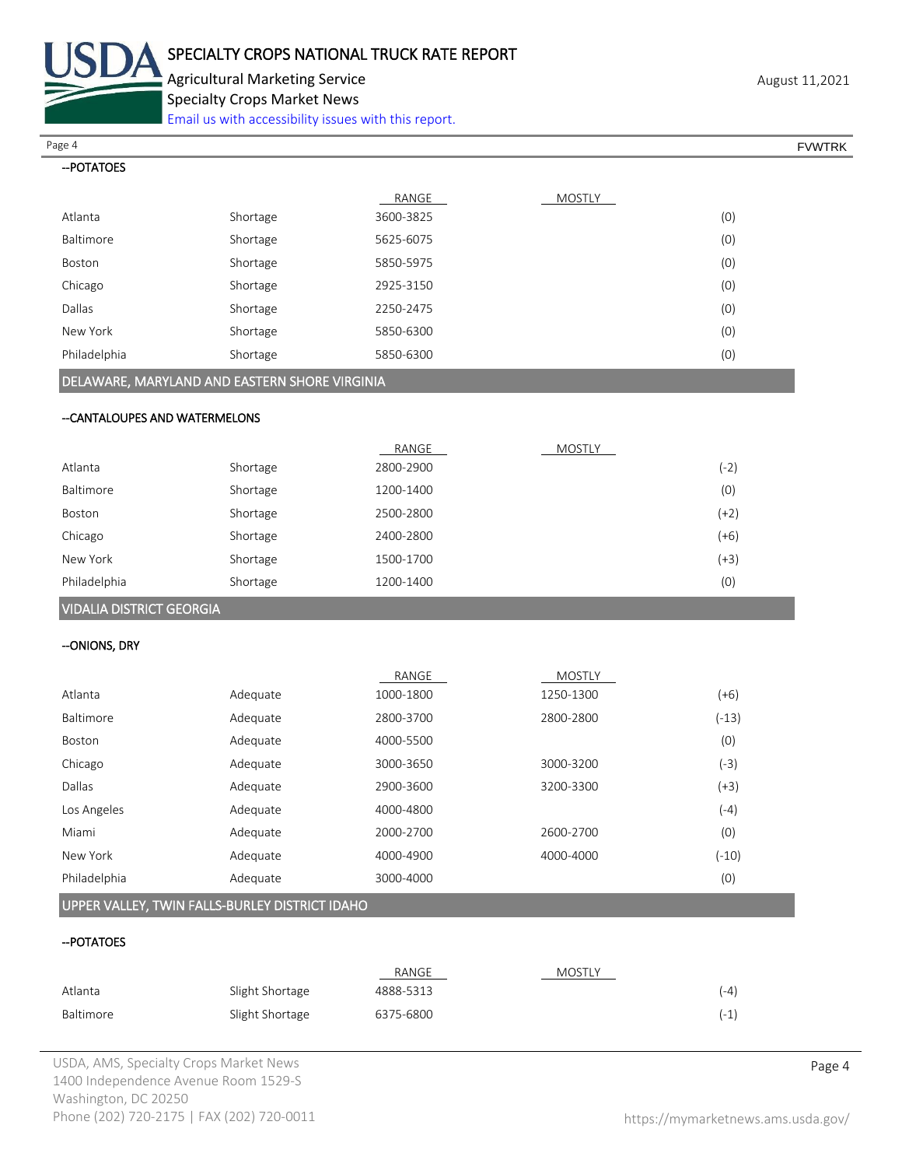

--POTATOES

Agricultural Marketing Service **August 11,2021** August 11,2021 Specialty Crops Market News

[Email us with accessibility issues with this report.](mailto:mars@ams.usda.gov?subject=508%20Inquiry/Report)

RANGE MOSTLY Atlanta Shortage 3600-3825 (0) Baltimore Shortage 5625-6075 (0) Page 4 FOUNTRK And the set of the set of the set of the set of the set of the set of the set of the set of the set of the set of the set of the set of the set of the set of the set of the set of the set of the set of the s

| Boston       | Shortage | 5850-5975 | (0) |
|--------------|----------|-----------|-----|
| Chicago      | Shortage | 2925-3150 | (0) |
| Dallas       | Shortage | 2250-2475 | (0) |
| New York     | Shortage | 5850-6300 | (0) |
| Philadelphia | Shortage | 5850-6300 | (0) |

## DELAWARE, MARYLAND AND EASTERN SHORE VIRGINIA

#### --CANTALOUPES AND WATERMELONS

|              |          | RANGE     | <b>MOSTLY</b> |        |
|--------------|----------|-----------|---------------|--------|
| Atlanta      | Shortage | 2800-2900 |               | $(-2)$ |
| Baltimore    | Shortage | 1200-1400 |               | (0)    |
| Boston       | Shortage | 2500-2800 |               | $(+2)$ |
| Chicago      | Shortage | 2400-2800 |               | $(+6)$ |
| New York     | Shortage | 1500-1700 |               | $(+3)$ |
| Philadelphia | Shortage | 1200-1400 |               | (0)    |
|              |          |           |               |        |

# VIDALIA DISTRICT GEORGIA

#### --ONIONS, DRY

|              |          | RANGE     | <b>MOSTLY</b> |         |
|--------------|----------|-----------|---------------|---------|
| Atlanta      | Adequate | 1000-1800 | 1250-1300     | (+6)    |
| Baltimore    | Adequate | 2800-3700 | 2800-2800     | $(-13)$ |
| Boston       | Adequate | 4000-5500 |               | (0)     |
| Chicago      | Adequate | 3000-3650 | 3000-3200     | (-3)    |
| Dallas       | Adequate | 2900-3600 | 3200-3300     | (+3)    |
| Los Angeles  | Adequate | 4000-4800 |               | $(-4)$  |
| Miami        | Adequate | 2000-2700 | 2600-2700     | (0)     |
| New York     | Adequate | 4000-4900 | 4000-4000     | $(-10)$ |
| Philadelphia | Adequate | 3000-4000 |               | (0)     |

## UPPER VALLEY, TWIN FALLS-BURLEY DISTRICT IDAHO

#### --POTATOES

|           |                 | RANGE     | <b>MOSTLY</b> |        |
|-----------|-----------------|-----------|---------------|--------|
| Atlanta   | Slight Shortage | 4888-5313 |               | $(-4)$ |
| Baltimore | Slight Shortage | 6375-6800 |               | $(-1)$ |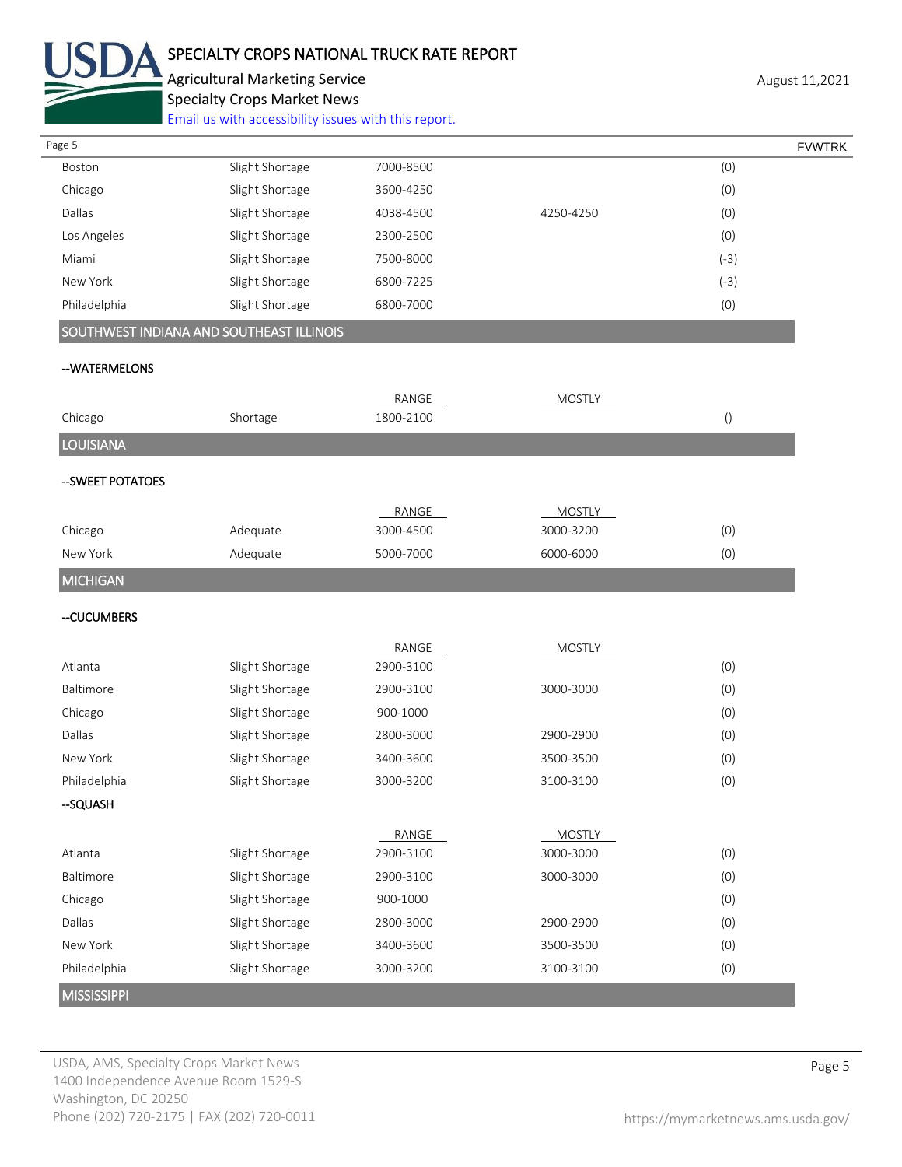

# SPECIALTY CROPS NATIONAL TRUCK RATE REPORT

Agricultural Marketing Service **August 11,2021** August 11,2021 Specialty Crops Market News

[Email us with accessibility issues with this report.](mailto:mars@ams.usda.gov?subject=508%20Inquiry/Report)

| Page 5             |                                          |           |               | <b>FVWTRK</b>    |
|--------------------|------------------------------------------|-----------|---------------|------------------|
| Boston             | Slight Shortage                          | 7000-8500 |               | (0)              |
| Chicago            | Slight Shortage                          | 3600-4250 |               | (0)              |
| Dallas             | Slight Shortage                          | 4038-4500 | 4250-4250     | (0)              |
| Los Angeles        | Slight Shortage                          | 2300-2500 |               | (0)              |
| Miami              | Slight Shortage                          | 7500-8000 |               | $(-3)$           |
| New York           | Slight Shortage                          | 6800-7225 |               | $(-3)$           |
| Philadelphia       | Slight Shortage                          | 6800-7000 |               | (0)              |
|                    | SOUTHWEST INDIANA AND SOUTHEAST ILLINOIS |           |               |                  |
| --WATERMELONS      |                                          |           |               |                  |
|                    |                                          | RANGE     | <b>MOSTLY</b> |                  |
| Chicago            | Shortage                                 | 1800-2100 |               | $\left( \right)$ |
| <b>LOUISIANA</b>   |                                          |           |               |                  |
| --SWEET POTATOES   |                                          |           |               |                  |
|                    |                                          | RANGE     | <b>MOSTLY</b> |                  |
| Chicago            | Adequate                                 | 3000-4500 | 3000-3200     | (0)              |
| New York           | Adequate                                 | 5000-7000 | 6000-6000     | (0)              |
| <b>MICHIGAN</b>    |                                          |           |               |                  |
| --CUCUMBERS        |                                          |           |               |                  |
|                    |                                          | RANGE     | <b>MOSTLY</b> |                  |
| Atlanta            | Slight Shortage                          | 2900-3100 |               | (0)              |
| Baltimore          | Slight Shortage                          | 2900-3100 | 3000-3000     | (0)              |
| Chicago            | Slight Shortage                          | 900-1000  |               | (0)              |
| Dallas             | Slight Shortage                          | 2800-3000 | 2900-2900     | (0)              |
| New York           | Slight Shortage                          | 3400-3600 | 3500-3500     | (0)              |
| Philadelphia       | Slight Shortage                          | 3000-3200 | 3100-3100     | (0)              |
| -SQUASH            |                                          |           |               |                  |
|                    |                                          | RANGE     | <b>MOSTLY</b> |                  |
| Atlanta            | Slight Shortage                          | 2900-3100 | 3000-3000     | (0)              |
| Baltimore          | Slight Shortage                          | 2900-3100 | 3000-3000     | (0)              |
| Chicago            | Slight Shortage                          | 900-1000  |               | (0)              |
| Dallas             | Slight Shortage                          | 2800-3000 | 2900-2900     | (0)              |
| New York           | Slight Shortage                          | 3400-3600 | 3500-3500     | (0)              |
| Philadelphia       | Slight Shortage                          | 3000-3200 | 3100-3100     | (0)              |
| <b>MISSISSIPPI</b> |                                          |           |               |                  |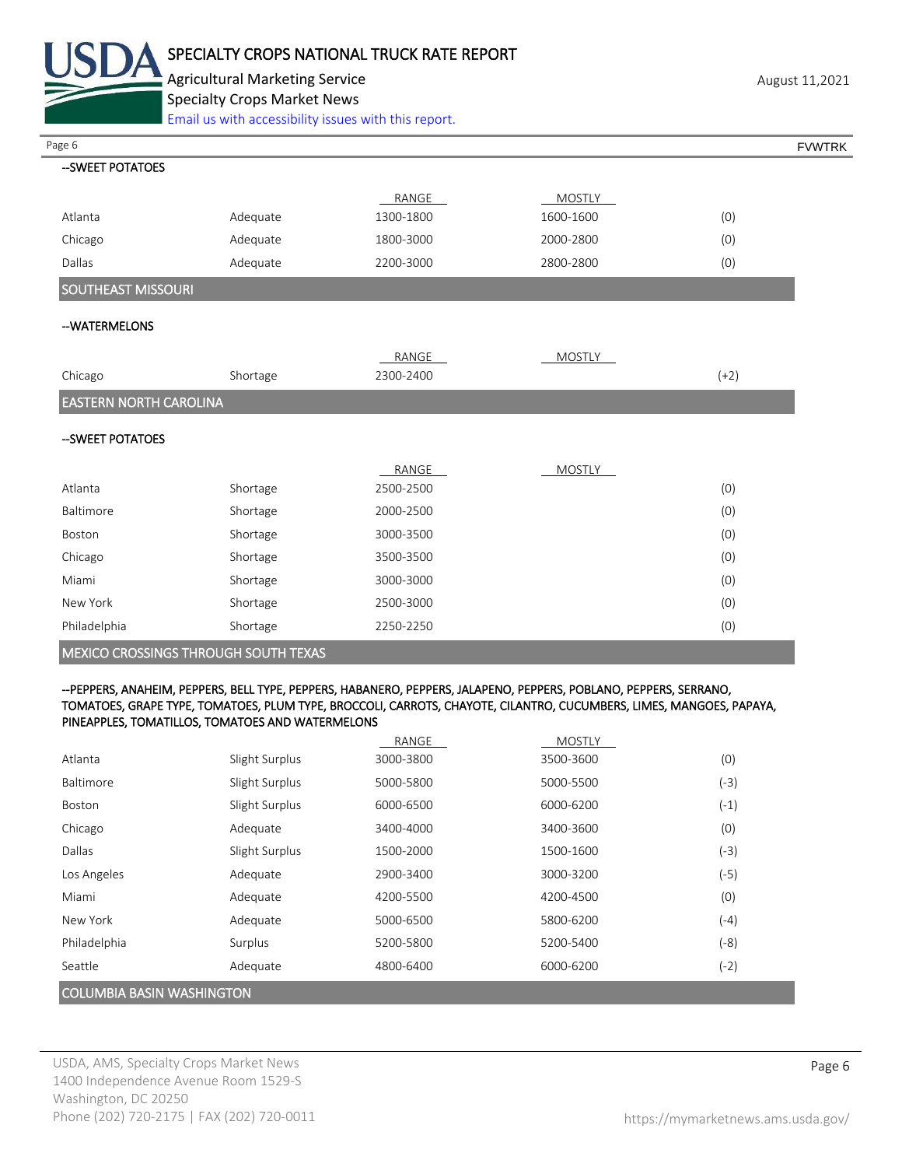

Agricultural Marketing Service **August 11,2021** August 11,2021 Specialty Crops Market News

[Email us with accessibility issues with this report.](mailto:mars@ams.usda.gov?subject=508%20Inquiry/Report)

| Page 6                        |                                      |           |               | <b>FVWTRK</b> |
|-------------------------------|--------------------------------------|-----------|---------------|---------------|
| -- SWEET POTATOES             |                                      |           |               |               |
|                               |                                      | RANGE     | <b>MOSTLY</b> |               |
| Atlanta                       | Adequate                             | 1300-1800 | 1600-1600     | (0)           |
| Chicago                       | Adequate                             | 1800-3000 | 2000-2800     | (0)           |
| Dallas                        | Adequate                             | 2200-3000 | 2800-2800     | (0)           |
| SOUTHEAST MISSOURI            |                                      |           |               |               |
| --WATERMELONS                 |                                      |           |               |               |
|                               |                                      | RANGE     | <b>MOSTLY</b> |               |
| Chicago                       | Shortage                             | 2300-2400 |               | $(+2)$        |
| <b>EASTERN NORTH CAROLINA</b> |                                      |           |               |               |
| -- SWEET POTATOES             |                                      |           |               |               |
|                               |                                      | RANGE     | MOSTLY        |               |
| Atlanta                       | Shortage                             | 2500-2500 |               | (0)           |
| Baltimore                     | Shortage                             | 2000-2500 |               | (0)           |
| Boston                        | Shortage                             | 3000-3500 |               | (0)           |
| Chicago                       | Shortage                             | 3500-3500 |               | (0)           |
| Miami                         | Shortage                             | 3000-3000 |               | (0)           |
| New York                      | Shortage                             | 2500-3000 |               | (0)           |
| Philadelphia                  | Shortage                             | 2250-2250 |               | (0)           |
|                               | MEXICO CROSSINGS THROUGH SOUTH TEXAS |           |               |               |
|                               |                                      |           |               |               |

#### --PEPPERS, ANAHEIM, PEPPERS, BELL TYPE, PEPPERS, HABANERO, PEPPERS, JALAPENO, PEPPERS, POBLANO, PEPPERS, SERRANO, TOMATOES, GRAPE TYPE, TOMATOES, PLUM TYPE, BROCCOLI, CARROTS, CHAYOTE, CILANTRO, CUCUMBERS, LIMES, MANGOES, PAPAYA, PINEAPPLES, TOMATILLOS, TOMATOES AND WATERMELONS

|                                  |                | RANGE     | <b>MOSTLY</b> |        |
|----------------------------------|----------------|-----------|---------------|--------|
| Atlanta                          | Slight Surplus | 3000-3800 | 3500-3600     | (0)    |
| Baltimore                        | Slight Surplus | 5000-5800 | 5000-5500     | (-3)   |
| <b>Boston</b>                    | Slight Surplus | 6000-6500 | 6000-6200     | $(-1)$ |
| Chicago                          | Adequate       | 3400-4000 | 3400-3600     | (0)    |
| Dallas                           | Slight Surplus | 1500-2000 | 1500-1600     | (-3)   |
| Los Angeles                      | Adequate       | 2900-3400 | 3000-3200     | $(-5)$ |
| Miami                            | Adequate       | 4200-5500 | 4200-4500     | (0)    |
| New York                         | Adequate       | 5000-6500 | 5800-6200     | (-4)   |
| Philadelphia                     | Surplus        | 5200-5800 | 5200-5400     | $(-8)$ |
| Seattle                          | Adequate       | 4800-6400 | 6000-6200     | (-2)   |
| <b>COLUMBIA BASIN WASHINGTON</b> |                |           |               |        |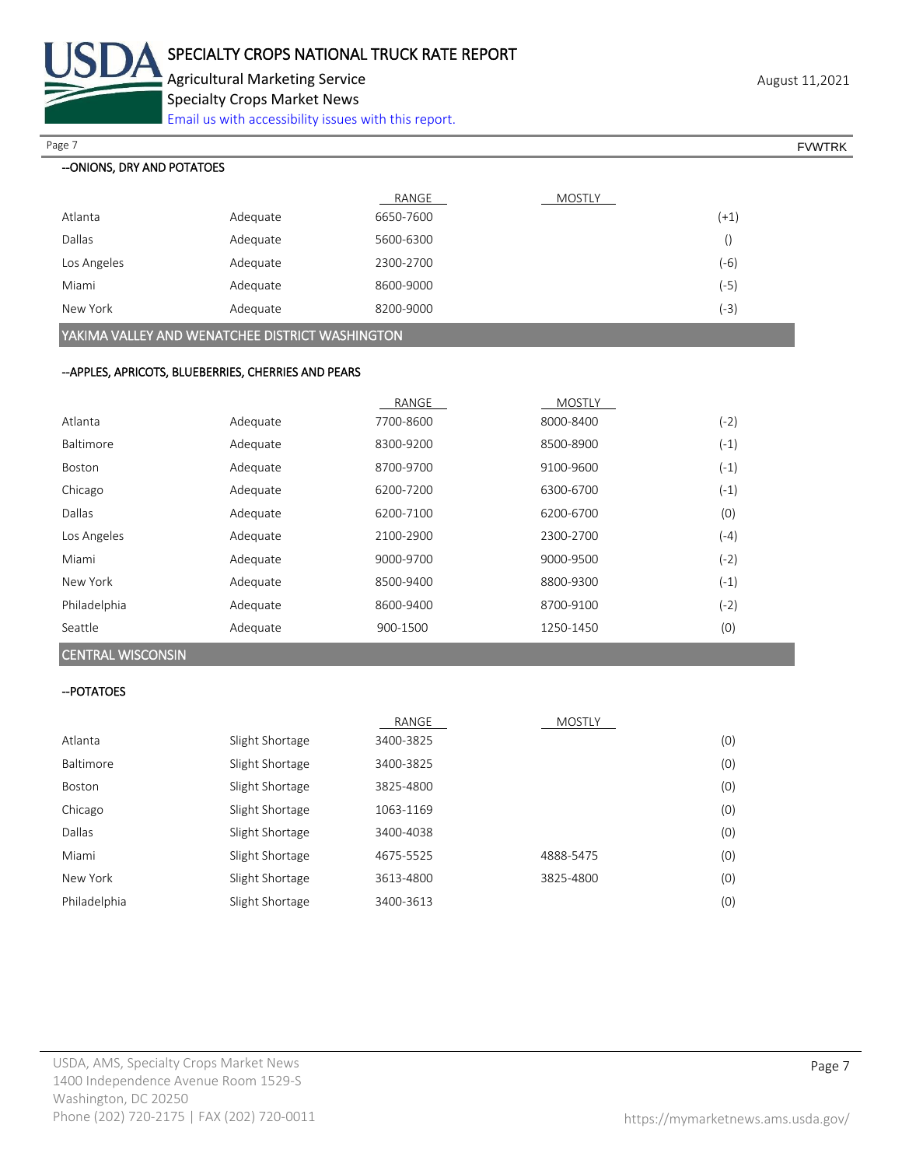

Agricultural Marketing Service **August 11,2021** August 11,2021 Specialty Crops Market News

[Email us with accessibility issues with this report.](mailto:mars@ams.usda.gov?subject=508%20Inquiry/Report)

| Page 7                     |          |           |        |                  | <b>FVWTRK</b> |
|----------------------------|----------|-----------|--------|------------------|---------------|
| --ONIONS, DRY AND POTATOES |          |           |        |                  |               |
|                            |          | RANGE     | MOSTLY |                  |               |
| Atlanta                    | Adequate | 6650-7600 |        | $(+1)$           |               |
| Dallas                     | Adequate | 5600-6300 |        | $\left( \right)$ |               |
| Los Angeles                | Adequate | 2300-2700 |        | $(-6)$           |               |
| Miami                      | Adequate | 8600-9000 |        | $(-5)$           |               |
| New York                   | Adequate | 8200-9000 |        | (-3)             |               |

YAKIMA VALLEY AND WENATCHEE DISTRICT WASHINGTON

### --APPLES, APRICOTS, BLUEBERRIES, CHERRIES AND PEARS

|               |          | RANGE     | <b>MOSTLY</b> |        |
|---------------|----------|-----------|---------------|--------|
| Atlanta       | Adequate | 7700-8600 | 8000-8400     | (-2)   |
| Baltimore     | Adequate | 8300-9200 | 8500-8900     | $(-1)$ |
| <b>Boston</b> | Adequate | 8700-9700 | 9100-9600     | $(-1)$ |
| Chicago       | Adequate | 6200-7200 | 6300-6700     | $(-1)$ |
| Dallas        | Adequate | 6200-7100 | 6200-6700     | (0)    |
| Los Angeles   | Adequate | 2100-2900 | 2300-2700     | $(-4)$ |
| Miami         | Adequate | 9000-9700 | 9000-9500     | (-2)   |
| New York      | Adequate | 8500-9400 | 8800-9300     | $(-1)$ |
| Philadelphia  | Adequate | 8600-9400 | 8700-9100     | (-2)   |
| Seattle       | Adequate | 900-1500  | 1250-1450     | (0)    |

### CENTRAL WISCONSIN

#### --POTATOES

|              |                 | RANGE     | <b>MOSTLY</b> |     |
|--------------|-----------------|-----------|---------------|-----|
| Atlanta      | Slight Shortage | 3400-3825 |               | (0) |
| Baltimore    | Slight Shortage | 3400-3825 |               | (0) |
| Boston       | Slight Shortage | 3825-4800 |               | (0) |
| Chicago      | Slight Shortage | 1063-1169 |               | (0) |
| Dallas       | Slight Shortage | 3400-4038 |               | (0) |
| Miami        | Slight Shortage | 4675-5525 | 4888-5475     | (0) |
| New York     | Slight Shortage | 3613-4800 | 3825-4800     | (0) |
| Philadelphia | Slight Shortage | 3400-3613 |               | (0) |